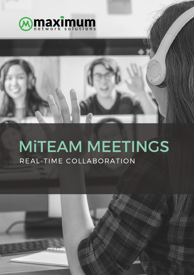

# MiTEAM MEETINGS REAL-TIME COLLABORATION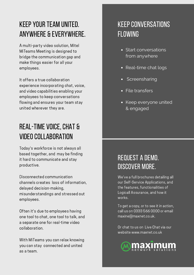# KEEP YOURTEAM UNITED. ANYWHERE & EVERYWHERE.

A multi-party video solution, Mitel MiTeams Meeting is designed to bridge the communication gap and make things easier for all your employees.

It offers a true collaboration experience incorporating chat, voice, and video capabilities enabling your employees to keep conversations flowing and ensures your team stay united wherever they are.

# REAL-TIME VOICE, CHAT & VIDEO COLLABORATION

Today's workforce is not always all based together, and may be finding it hard to communicate and stay productive.

Disconnected communication channels creates loss of information, delayed decision-making, misunderstandings and stressed out employees.

Often it's due to employees having one tool to chat, one tool to talk, and a separate one for real-time video collaboration.

With MiTeams you can relax knowing you can stay connected and united as a team.

## **KEEP CONVERSATIONS** FLOWING

- Start conversations from anywhere
- Real-time chat logs
- Screensharing
- File transfers
- Keep everyone united & engaged

## request a demo. discover more.

We've a full brochures detailing all our Self-Service Applications, and the features, functionalities of Logicall Assurance, and how it works.

To get a copy, or to see it in action, call us on 0333 566 0000 or email maxine@maxnet.co.uk.

Or chat to us on Live Chat via our website www.maxnet.co.uk